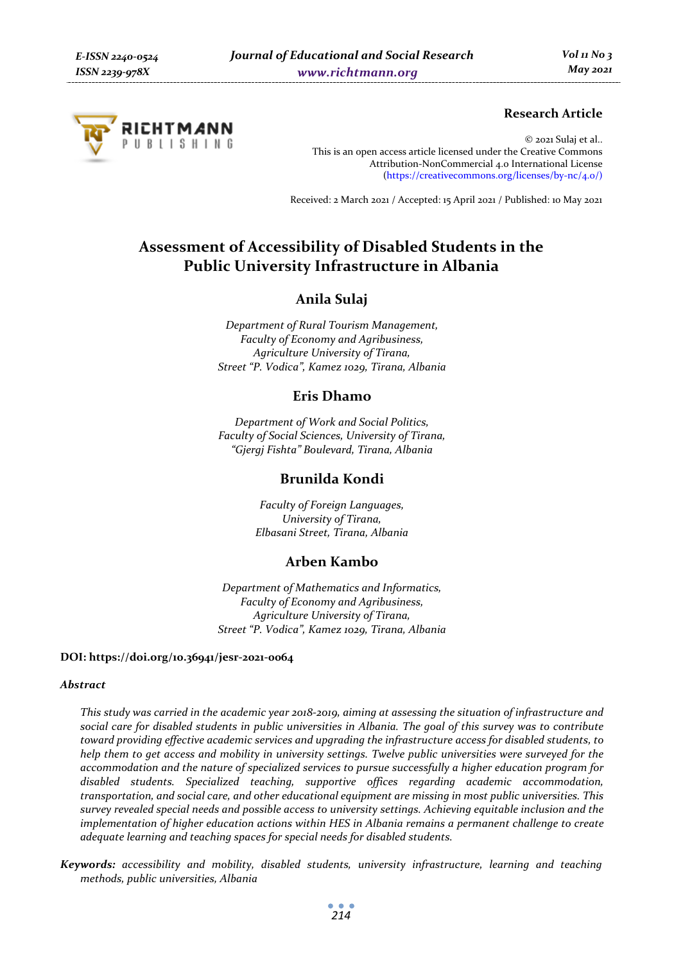

# **Research Article**

© 2021 Sulaj et al.. This is an open access article licensed under the Creative Commons Attribution-NonCommercial 4.0 International License (https://creativecommons.org/licenses/by-nc/4.0/)

Received: 2 March 2021 / Accepted: 15 April 2021 / Published: 10 May 2021

# **Assessment of Accessibility of Disabled Students in the Public University Infrastructure in Albania**

# **Anila Sulaj**

*Department of Rural Tourism Management, Faculty of Economy and Agribusiness, Agriculture University of Tirana, Street "P. Vodica", Kamez 1029, Tirana, Albania* 

### **Eris Dhamo**

*Department of Work and Social Politics, Faculty of Social Sciences, University of Tirana, "Gjergj Fishta" Boulevard, Tirana, Albania* 

### **Brunilda Kondi**

*Faculty of Foreign Languages, University of Tirana, Elbasani Street, Tirana, Albania* 

# **Arben Kambo**

*Department of Mathematics and Informatics, Faculty of Economy and Agribusiness, Agriculture University of Tirana, Street "P. Vodica", Kamez 1029, Tirana, Albania* 

#### **DOI: https://doi.org/10.36941/jesr-2021-0064**

#### *Abstract*

*This study was carried in the academic year 2018-2019, aiming at assessing the situation of infrastructure and social care for disabled students in public universities in Albania. The goal of this survey was to contribute toward providing effective academic services and upgrading the infrastructure access for disabled students, to help them to get access and mobility in university settings. Twelve public universities were surveyed for the accommodation and the nature of specialized services to pursue successfully a higher education program for disabled students. Specialized teaching, supportive offices regarding academic accommodation, transportation, and social care, and other educational equipment are missing in most public universities. This survey revealed special needs and possible access to university settings. Achieving equitable inclusion and the implementation of higher education actions within HES in Albania remains a permanent challenge to create adequate learning and teaching spaces for special needs for disabled students.* 

*Keywords: accessibility and mobility, disabled students, university infrastructure, learning and teaching methods, public universities, Albania*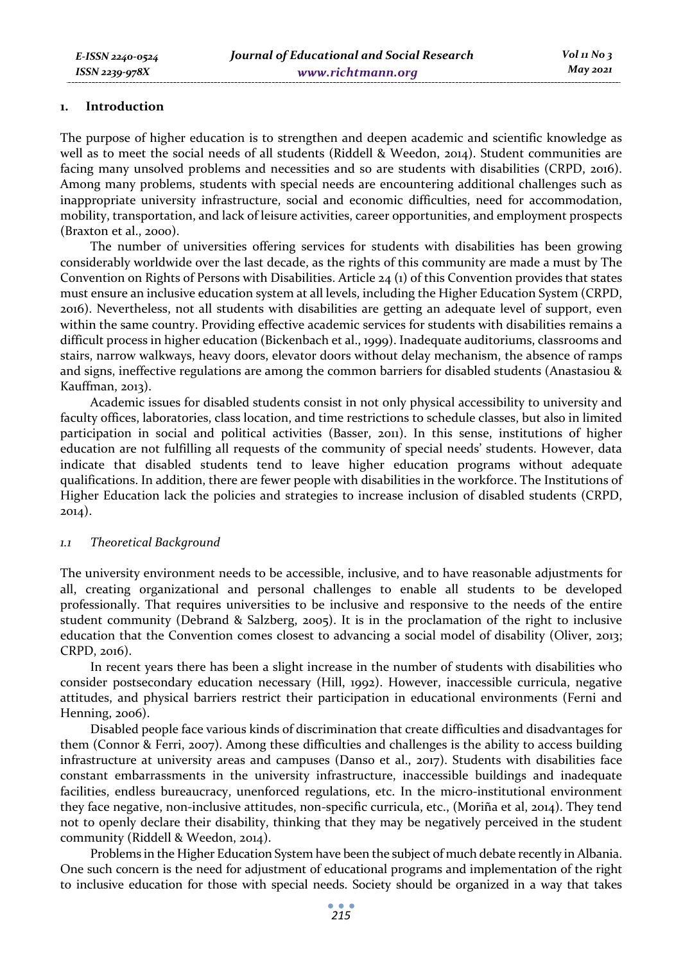#### **1. Introduction**

The purpose of higher education is to strengthen and deepen academic and scientific knowledge as well as to meet the social needs of all students (Riddell & Weedon, 2014). Student communities are facing many unsolved problems and necessities and so are students with disabilities (CRPD, 2016). Among many problems, students with special needs are encountering additional challenges such as inappropriate university infrastructure, social and economic difficulties, need for accommodation, mobility, transportation, and lack of leisure activities, career opportunities, and employment prospects (Braxton et al., 2000).

The number of universities offering services for students with disabilities has been growing considerably worldwide over the last decade, as the rights of this community are made a must by The Convention on Rights of Persons with Disabilities. Article 24 (1) of this Convention provides that states must ensure an inclusive education system at all levels, including the Higher Education System (CRPD, 2016). Nevertheless, not all students with disabilities are getting an adequate level of support, even within the same country. Providing effective academic services for students with disabilities remains a difficult process in higher education (Bickenbach et al., 1999). Inadequate auditoriums, classrooms and stairs, narrow walkways, heavy doors, elevator doors without delay mechanism, the absence of ramps and signs, ineffective regulations are among the common barriers for disabled students (Anastasiou & Kauffman, 2013).

Academic issues for disabled students consist in not only physical accessibility to university and faculty offices, laboratories, class location, and time restrictions to schedule classes, but also in limited participation in social and political activities (Basser, 2011). In this sense, institutions of higher education are not fulfilling all requests of the community of special needs' students. However, data indicate that disabled students tend to leave higher education programs without adequate qualifications. In addition, there are fewer people with disabilities in the workforce. The Institutions of Higher Education lack the policies and strategies to increase inclusion of disabled students (CRPD, 2014).

### *1.1 Theoretical Background*

The university environment needs to be accessible, inclusive, and to have reasonable adjustments for all, creating organizational and personal challenges to enable all students to be developed professionally. That requires universities to be inclusive and responsive to the needs of the entire student community (Debrand & Salzberg, 2005). It is in the proclamation of the right to inclusive education that the Convention comes closest to advancing a social model of disability (Oliver, 2013; CRPD, 2016).

In recent years there has been a slight increase in the number of students with disabilities who consider postsecondary education necessary (Hill, 1992). However, inaccessible curricula, negative attitudes, and physical barriers restrict their participation in educational environments (Ferni and Henning, 2006).

Disabled people face various kinds of discrimination that create difficulties and disadvantages for them (Connor & Ferri, 2007). Among these difficulties and challenges is the ability to access building infrastructure at university areas and campuses (Danso et al., 2017). Students with disabilities face constant embarrassments in the university infrastructure, inaccessible buildings and inadequate facilities, endless bureaucracy, unenforced regulations, etc. In the micro-institutional environment they face negative, non-inclusive attitudes, non-specific curricula, etc., (Moriña et al, 2014). They tend not to openly declare their disability, thinking that they may be negatively perceived in the student community (Riddell & Weedon, 2014).

Problems in the Higher Education System have been the subject of much debate recently in Albania. One such concern is the need for adjustment of educational programs and implementation of the right to inclusive education for those with special needs. Society should be organized in a way that takes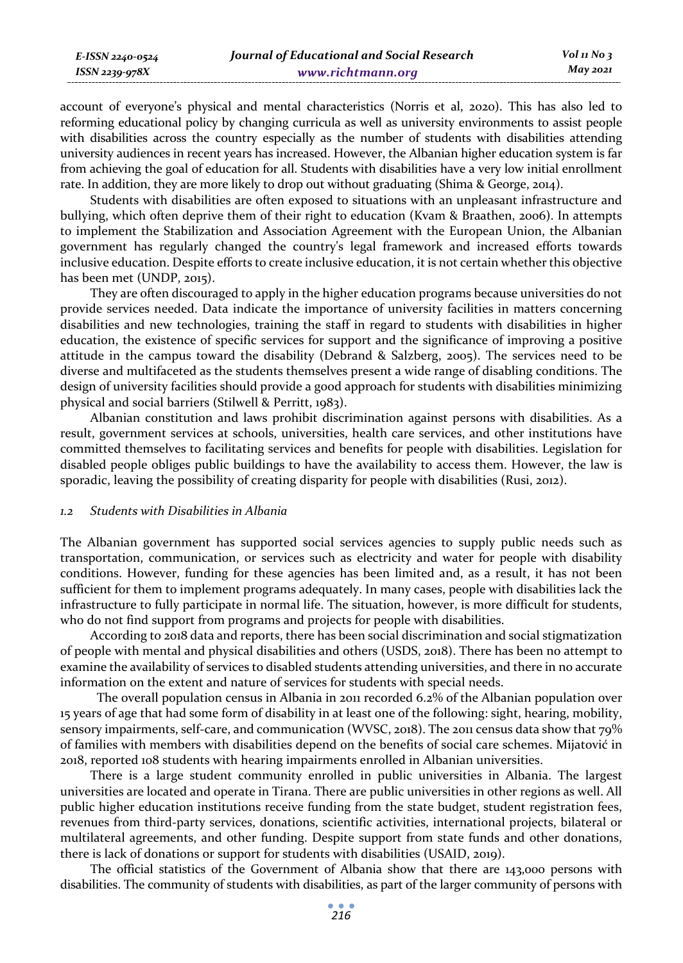| Journal of Educational and Social Research<br>E-ISSN 2240-0524 |                   |          |
|----------------------------------------------------------------|-------------------|----------|
| ISSN 2239-978X                                                 | www.richtmann.org | May 2021 |

account of everyone's physical and mental characteristics (Norris et al, 2020). This has also led to reforming educational policy by changing curricula as well as university environments to assist people with disabilities across the country especially as the number of students with disabilities attending university audiences in recent years has increased. However, the Albanian higher education system is far from achieving the goal of education for all. Students with disabilities have a very low initial enrollment rate. In addition, they are more likely to drop out without graduating (Shima & George, 2014).

Students with disabilities are often exposed to situations with an unpleasant infrastructure and bullying, which often deprive them of their right to education (Kvam & Braathen, 2006). In attempts to implement the Stabilization and Association Agreement with the European Union, the Albanian government has regularly changed the country's legal framework and increased efforts towards inclusive education. Despite efforts to create inclusive education, it is not certain whether this objective has been met (UNDP, 2015).

They are often discouraged to apply in the higher education programs because universities do not provide services needed. Data indicate the importance of university facilities in matters concerning disabilities and new technologies, training the staff in regard to students with disabilities in higher education, the existence of specific services for support and the significance of improving a positive attitude in the campus toward the disability (Debrand & Salzberg, 2005). The services need to be diverse and multifaceted as the students themselves present a wide range of disabling conditions. The design of university facilities should provide a good approach for students with disabilities minimizing physical and social barriers (Stilwell & Perritt, 1983).

Albanian constitution and laws prohibit discrimination against persons with disabilities. As a result, government services at schools, universities, health care services, and other institutions have committed themselves to facilitating services and benefits for people with disabilities. Legislation for disabled people obliges public buildings to have the availability to access them. However, the law is sporadic, leaving the possibility of creating disparity for people with disabilities (Rusi, 2012).

### *1.2 Students with Disabilities in Albania*

The Albanian government has supported social services agencies to supply public needs such as transportation, communication, or services such as electricity and water for people with disability conditions. However, funding for these agencies has been limited and, as a result, it has not been sufficient for them to implement programs adequately. In many cases, people with disabilities lack the infrastructure to fully participate in normal life. The situation, however, is more difficult for students, who do not find support from programs and projects for people with disabilities.

According to 2018 data and reports, there has been social discrimination and social stigmatization of people with mental and physical disabilities and others (USDS, 2018). There has been no attempt to examine the availability of services to disabled students attending universities, and there in no accurate information on the extent and nature of services for students with special needs.

 The overall population census in Albania in 2011 recorded 6.2% of the Albanian population over 15 years of age that had some form of disability in at least one of the following: sight, hearing, mobility, sensory impairments, self-care, and communication (WVSC, 2018). The 2011 census data show that 79% of families with members with disabilities depend on the benefits of social care schemes. Mijatović in 2018, reported 108 students with hearing impairments enrolled in Albanian universities.

There is a large student community enrolled in public universities in Albania. The largest universities are located and operate in Tirana. There are public universities in other regions as well. All public higher education institutions receive funding from the state budget, student registration fees, revenues from third-party services, donations, scientific activities, international projects, bilateral or multilateral agreements, and other funding. Despite support from state funds and other donations, there is lack of donations or support for students with disabilities (USAID, 2019).

The official statistics of the Government of Albania show that there are 143,000 persons with disabilities. The community of students with disabilities, as part of the larger community of persons with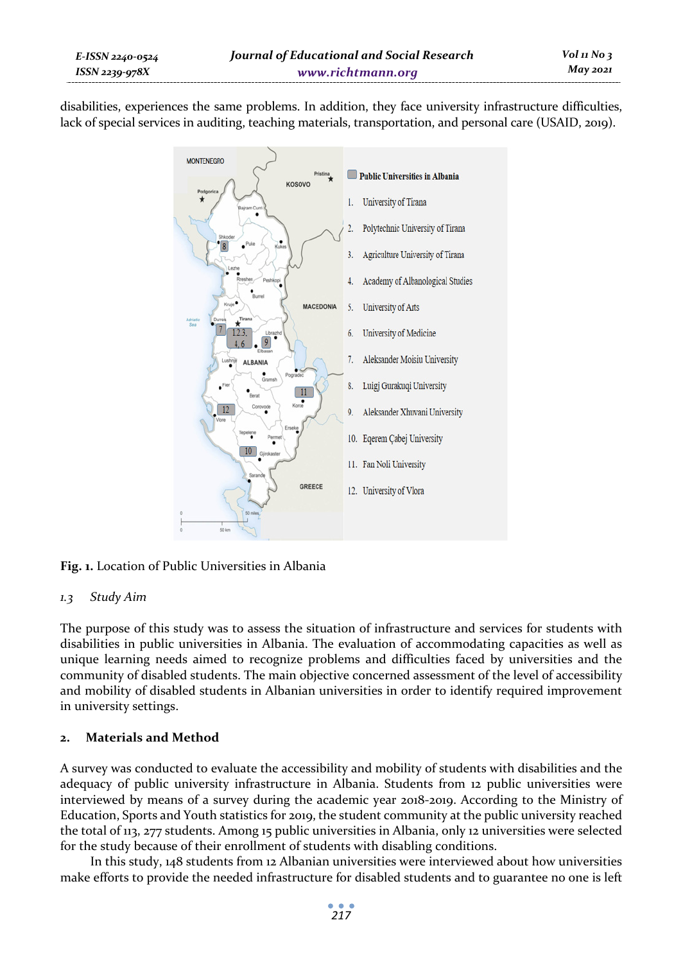*E-ISSN 2240-0524 ISSN 2239-978X*

disabilities, experiences the same problems. In addition, they face university infrastructure difficulties, lack of special services in auditing, teaching materials, transportation, and personal care (USAID, 2019).



**Fig. 1.** Location of Public Universities in Albania

# *1.3 Study Aim*

The purpose of this study was to assess the situation of infrastructure and services for students with disabilities in public universities in Albania. The evaluation of accommodating capacities as well as unique learning needs aimed to recognize problems and difficulties faced by universities and the community of disabled students. The main objective concerned assessment of the level of accessibility and mobility of disabled students in Albanian universities in order to identify required improvement in university settings.

# **2. Materials and Method**

A survey was conducted to evaluate the accessibility and mobility of students with disabilities and the adequacy of public university infrastructure in Albania. Students from 12 public universities were interviewed by means of a survey during the academic year 2018-2019. According to the Ministry of Education, Sports and Youth statistics for 2019, the student community at the public university reached the total of 113, 277 students. Among 15 public universities in Albania, only 12 universities were selected for the study because of their enrollment of students with disabling conditions.

In this study, 148 students from 12 Albanian universities were interviewed about how universities make efforts to provide the needed infrastructure for disabled students and to guarantee no one is left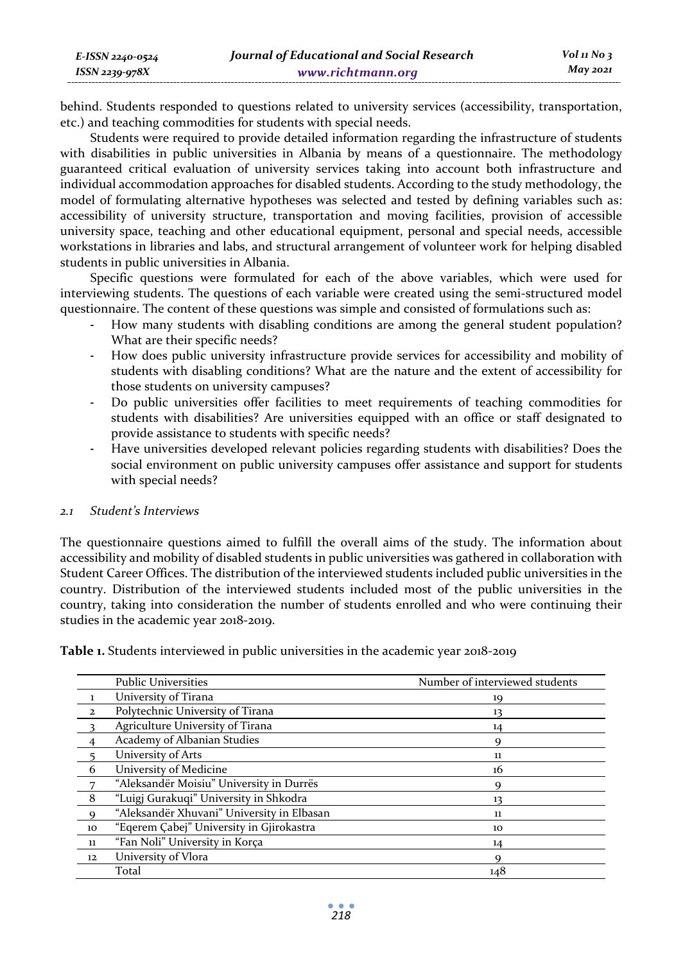behind. Students responded to questions related to university services (accessibility, transportation, etc.) and teaching commodities for students with special needs.

Students were required to provide detailed information regarding the infrastructure of students with disabilities in public universities in Albania by means of a questionnaire. The methodology guaranteed critical evaluation of university services taking into account both infrastructure and individual accommodation approaches for disabled students. According to the study methodology, the model of formulating alternative hypotheses was selected and tested by defining variables such as: accessibility of university structure, transportation and moving facilities, provision of accessible university space, teaching and other educational equipment, personal and special needs, accessible workstations in libraries and labs, and structural arrangement of volunteer work for helping disabled students in public universities in Albania.

Specific questions were formulated for each of the above variables, which were used for interviewing students. The questions of each variable were created using the semi-structured model questionnaire. The content of these questions was simple and consisted of formulations such as:

- How many students with disabling conditions are among the general student population? What are their specific needs?
- How does public university infrastructure provide services for accessibility and mobility of students with disabling conditions? What are the nature and the extent of accessibility for those students on university campuses?
- Do public universities offer facilities to meet requirements of teaching commodities for students with disabilities? Are universities equipped with an office or staff designated to provide assistance to students with specific needs?
- Have universities developed relevant policies regarding students with disabilities? Does the social environment on public university campuses offer assistance and support for students with special needs?

# *2.1 Student's Interviews*

The questionnaire questions aimed to fulfill the overall aims of the study. The information about accessibility and mobility of disabled students in public universities was gathered in collaboration with Student Career Offices. The distribution of the interviewed students included public universities in the country. Distribution of the interviewed students included most of the public universities in the country, taking into consideration the number of students enrolled and who were continuing their studies in the academic year 2018-2019.

|                            | <b>Public Universities</b>                 | Number of interviewed students |
|----------------------------|--------------------------------------------|--------------------------------|
|                            | University of Tirana                       | 19                             |
| $\overline{\mathbf{2}}$    | Polytechnic University of Tirana           | 13                             |
| $\overline{\phantom{a}}$   | Agriculture University of Tirana           | 14                             |
|                            | Academy of Albanian Studies                | Q                              |
|                            | University of Arts                         | 11                             |
| -6                         | University of Medicine                     | 16                             |
| $\overline{7}$             | "Aleksandër Moisiu" University in Durrës   |                                |
| $\overline{\phantom{0}}$ 8 | "Luigj Gurakuqi" University in Shkodra     | 13                             |
| - 9                        | "Aleksandër Xhuvani" University in Elbasan | 11                             |
| 10                         | "Egerem Çabej" University in Gjirokastra   | 10                             |
| - 11                       | "Fan Noli" University in Korça             | 14                             |
| 12                         | University of Vlora                        | Q                              |
|                            | Total                                      | 148                            |

**Table 1.** Students interviewed in public universities in the academic year 2018-2019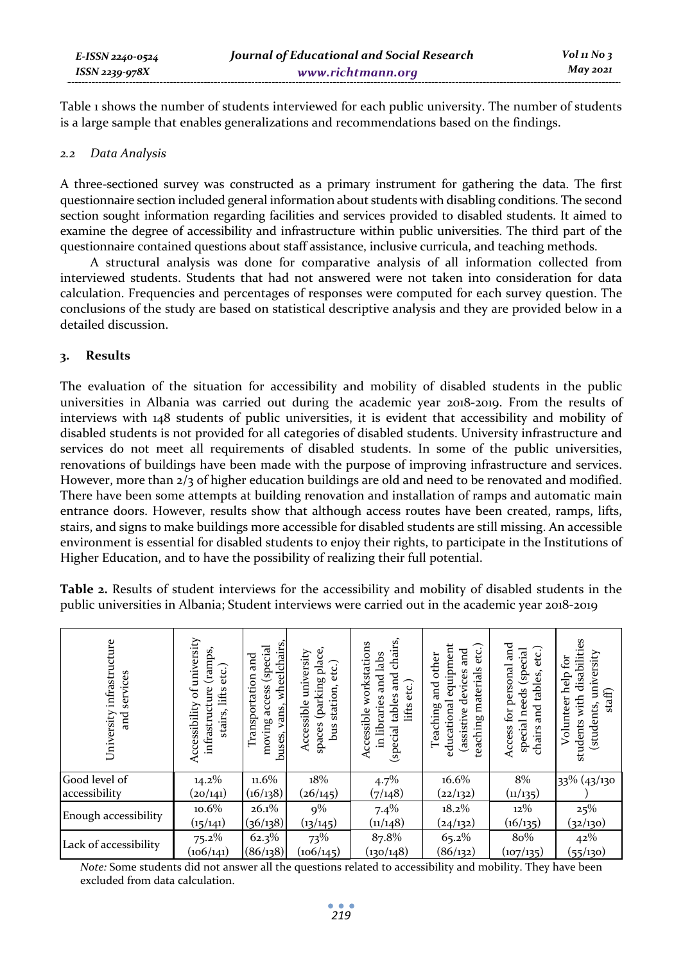Table 1 shows the number of students interviewed for each public university. The number of students is a large sample that enables generalizations and recommendations based on the findings.

### *2.2 Data Analysis*

A three-sectioned survey was constructed as a primary instrument for gathering the data. The first questionnaire section included general information about students with disabling conditions. The second section sought information regarding facilities and services provided to disabled students. It aimed to examine the degree of accessibility and infrastructure within public universities. The third part of the questionnaire contained questions about staff assistance, inclusive curricula, and teaching methods.

A structural analysis was done for comparative analysis of all information collected from interviewed students. Students that had not answered were not taken into consideration for data calculation. Frequencies and percentages of responses were computed for each survey question. The conclusions of the study are based on statistical descriptive analysis and they are provided below in a detailed discussion.

### **3. Results**

The evaluation of the situation for accessibility and mobility of disabled students in the public universities in Albania was carried out during the academic year 2018-2019. From the results of interviews with 148 students of public universities, it is evident that accessibility and mobility of disabled students is not provided for all categories of disabled students. University infrastructure and services do not meet all requirements of disabled students. In some of the public universities, renovations of buildings have been made with the purpose of improving infrastructure and services. However, more than 2/3 of higher education buildings are old and need to be renovated and modified. There have been some attempts at building renovation and installation of ramps and automatic main entrance doors. However, results show that although access routes have been created, ramps, lifts, stairs, and signs to make buildings more accessible for disabled students are still missing. An accessible environment is essential for disabled students to enjoy their rights, to participate in the Institutions of Higher Education, and to have the possibility of realizing their full potential.

| University infrastructure<br>services<br>and | of university<br>(ramps,<br>etc.)<br>ure<br>lifts<br>Accessibility<br>infrastruct<br>stairs, | wheelchairs<br>moving access (special<br>and<br>Transportation<br>vans,<br>buses, | (parking place,<br>Accessible university<br>etc.)<br>station,<br>spaces<br>bus | chairs,<br>workstations<br>and labs<br>nd<br>and<br>lifts etc.)<br>(special tables<br>in libraries<br>Accessible | equipment<br>$\rm etc.)$<br>nd<br>and<br>other<br>materials<br>devices<br>and<br>educational<br>Teaching<br>(assistive<br>teaching | ਸ਼ੂਰ<br>etc.)<br>(special<br>Access for personal<br>and tables,<br>special needs<br>chairs. | students with disabilities<br>students, university<br>Ĩд,<br>Volunteer help<br>staff) |
|----------------------------------------------|----------------------------------------------------------------------------------------------|-----------------------------------------------------------------------------------|--------------------------------------------------------------------------------|------------------------------------------------------------------------------------------------------------------|------------------------------------------------------------------------------------------------------------------------------------|---------------------------------------------------------------------------------------------|---------------------------------------------------------------------------------------|
| Good level of                                | $14.2\%$                                                                                     | $11.6\%$                                                                          | 18%                                                                            | 4.7%                                                                                                             | 16.6%                                                                                                                              | 8%                                                                                          | 33% (43/130                                                                           |
| accessibility                                | (20/141)                                                                                     | (16/138)                                                                          | (26/145)                                                                       | (7/148)                                                                                                          | (22/132)                                                                                                                           | (u/135)                                                                                     |                                                                                       |
| Enough accessibility                         | $10.6\%$                                                                                     | 26.1%                                                                             | $9\%$                                                                          | 7.4%                                                                                                             | $18.2\%$                                                                                                                           | $12\%$                                                                                      | 25%                                                                                   |
|                                              | (15/141)                                                                                     | (36/138)                                                                          | (13/145)                                                                       | (11/148)                                                                                                         | (24/132)                                                                                                                           | (16/135)                                                                                    | (32/130)                                                                              |
| Lack of accessibility                        | $75.2\%$                                                                                     | 62.3%                                                                             | 73%                                                                            | 87.8%                                                                                                            | 65.2%                                                                                                                              | 80%                                                                                         | 42%                                                                                   |
|                                              | (106/141)                                                                                    | (86/138)                                                                          | (106/145)                                                                      | (130/148)                                                                                                        | (86/132)                                                                                                                           | (107/135)                                                                                   | (55/130)                                                                              |

**Table 2.** Results of student interviews for the accessibility and mobility of disabled students in the public universities in Albania; Student interviews were carried out in the academic year 2018-2019

*Note:* Some students did not answer all the questions related to accessibility and mobility. They have been excluded from data calculation.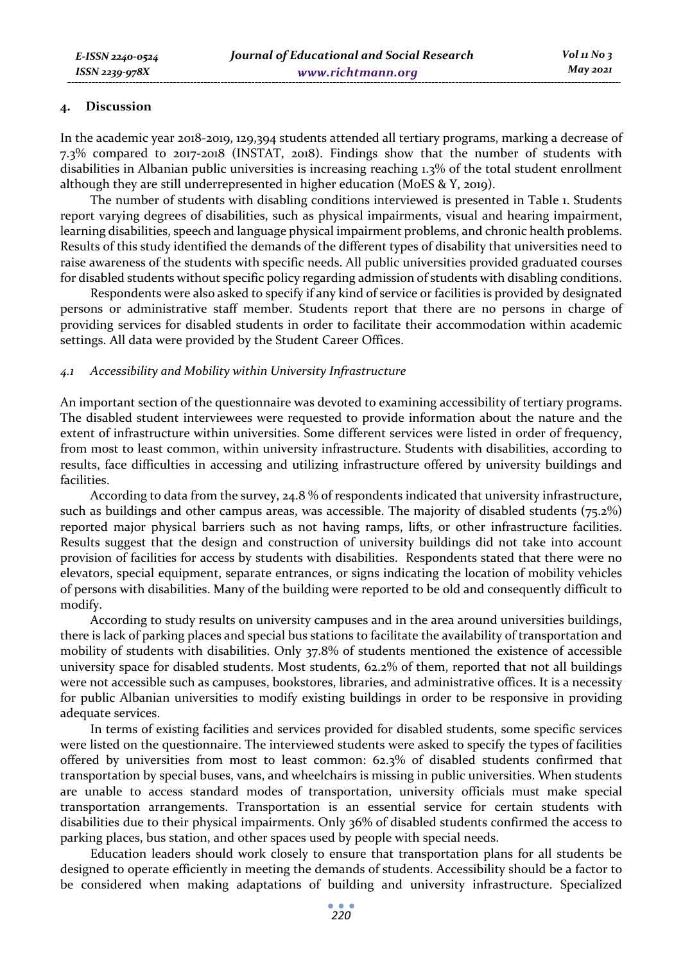### **4. Discussion**

In the academic year 2018-2019, 129,394 students attended all tertiary programs, marking a decrease of 7.3% compared to 2017-2018 (INSTAT, 2018). Findings show that the number of students with disabilities in Albanian public universities is increasing reaching 1.3% of the total student enrollment although they are still underrepresented in higher education (MoES & Y, 2019).

The number of students with disabling conditions interviewed is presented in Table 1. Students report varying degrees of disabilities, such as physical impairments, visual and hearing impairment, learning disabilities, speech and language physical impairment problems, and chronic health problems. Results of this study identified the demands of the different types of disability that universities need to raise awareness of the students with specific needs. All public universities provided graduated courses for disabled students without specific policy regarding admission of students with disabling conditions.

Respondents were also asked to specify if any kind of service or facilities is provided by designated persons or administrative staff member. Students report that there are no persons in charge of providing services for disabled students in order to facilitate their accommodation within academic settings. All data were provided by the Student Career Offices.

### *4.1 Accessibility and Mobility within University Infrastructure*

An important section of the questionnaire was devoted to examining accessibility of tertiary programs. The disabled student interviewees were requested to provide information about the nature and the extent of infrastructure within universities. Some different services were listed in order of frequency, from most to least common, within university infrastructure. Students with disabilities, according to results, face difficulties in accessing and utilizing infrastructure offered by university buildings and facilities.

According to data from the survey, 24.8 % of respondents indicated that university infrastructure, such as buildings and other campus areas, was accessible. The majority of disabled students (75.2%) reported major physical barriers such as not having ramps, lifts, or other infrastructure facilities. Results suggest that the design and construction of university buildings did not take into account provision of facilities for access by students with disabilities. Respondents stated that there were no elevators, special equipment, separate entrances, or signs indicating the location of mobility vehicles of persons with disabilities. Many of the building were reported to be old and consequently difficult to modify.

According to study results on university campuses and in the area around universities buildings, there is lack of parking places and special bus stations to facilitate the availability of transportation and mobility of students with disabilities. Only 37.8% of students mentioned the existence of accessible university space for disabled students. Most students, 62.2% of them, reported that not all buildings were not accessible such as campuses, bookstores, libraries, and administrative offices. It is a necessity for public Albanian universities to modify existing buildings in order to be responsive in providing adequate services.

In terms of existing facilities and services provided for disabled students, some specific services were listed on the questionnaire. The interviewed students were asked to specify the types of facilities offered by universities from most to least common: 62.3% of disabled students confirmed that transportation by special buses, vans, and wheelchairs is missing in public universities. When students are unable to access standard modes of transportation, university officials must make special transportation arrangements. Transportation is an essential service for certain students with disabilities due to their physical impairments. Only 36% of disabled students confirmed the access to parking places, bus station, and other spaces used by people with special needs.

Education leaders should work closely to ensure that transportation plans for all students be designed to operate efficiently in meeting the demands of students. Accessibility should be a factor to be considered when making adaptations of building and university infrastructure. Specialized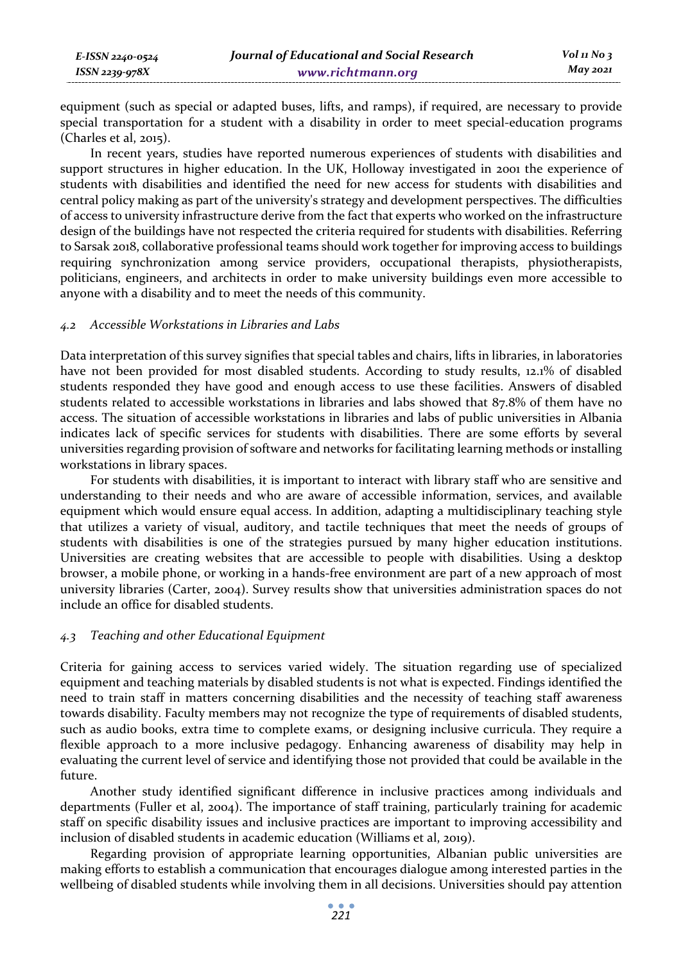equipment (such as special or adapted buses, lifts, and ramps), if required, are necessary to provide special transportation for a student with a disability in order to meet special-education programs (Charles et al, 2015).

In recent years, studies have reported numerous experiences of students with disabilities and support structures in higher education. In the UK, Holloway investigated in 2001 the experience of students with disabilities and identified the need for new access for students with disabilities and central policy making as part of the university's strategy and development perspectives. The difficulties of access to university infrastructure derive from the fact that experts who worked on the infrastructure design of the buildings have not respected the criteria required for students with disabilities. Referring to Sarsak 2018, collaborative professional teams should work together for improving access to buildings requiring synchronization among service providers, occupational therapists, physiotherapists, politicians, engineers, and architects in order to make university buildings even more accessible to anyone with a disability and to meet the needs of this community.

### *4.2 Accessible Workstations in Libraries and Labs*

Data interpretation of this survey signifies that special tables and chairs, lifts in libraries, in laboratories have not been provided for most disabled students. According to study results, 12.1% of disabled students responded they have good and enough access to use these facilities. Answers of disabled students related to accessible workstations in libraries and labs showed that 87.8% of them have no access. The situation of accessible workstations in libraries and labs of public universities in Albania indicates lack of specific services for students with disabilities. There are some efforts by several universities regarding provision of software and networks for facilitating learning methods or installing workstations in library spaces.

For students with disabilities, it is important to interact with library staff who are sensitive and understanding to their needs and who are aware of accessible information, services, and available equipment which would ensure equal access. In addition, adapting a multidisciplinary teaching style that utilizes a variety of visual, auditory, and tactile techniques that meet the needs of groups of students with disabilities is one of the strategies pursued by many higher education institutions. Universities are creating websites that are accessible to people with disabilities. Using a desktop browser, a mobile phone, or working in a hands-free environment are part of a new approach of most university libraries (Carter, 2004). Survey results show that universities administration spaces do not include an office for disabled students.

### *4.3 Teaching and other Educational Equipment*

Criteria for gaining access to services varied widely. The situation regarding use of specialized equipment and teaching materials by disabled students is not what is expected. Findings identified the need to train staff in matters concerning disabilities and the necessity of teaching staff awareness towards disability. Faculty members may not recognize the type of requirements of disabled students, such as audio books, extra time to complete exams, or designing inclusive curricula. They require a flexible approach to a more inclusive pedagogy. Enhancing awareness of disability may help in evaluating the current level of service and identifying those not provided that could be available in the future.

Another study identified significant difference in inclusive practices among individuals and departments (Fuller et al, 2004). The importance of staff training, particularly training for academic staff on specific disability issues and inclusive practices are important to improving accessibility and inclusion of disabled students in academic education (Williams et al, 2019).

Regarding provision of appropriate learning opportunities, Albanian public universities are making efforts to establish a communication that encourages dialogue among interested parties in the wellbeing of disabled students while involving them in all decisions. Universities should pay attention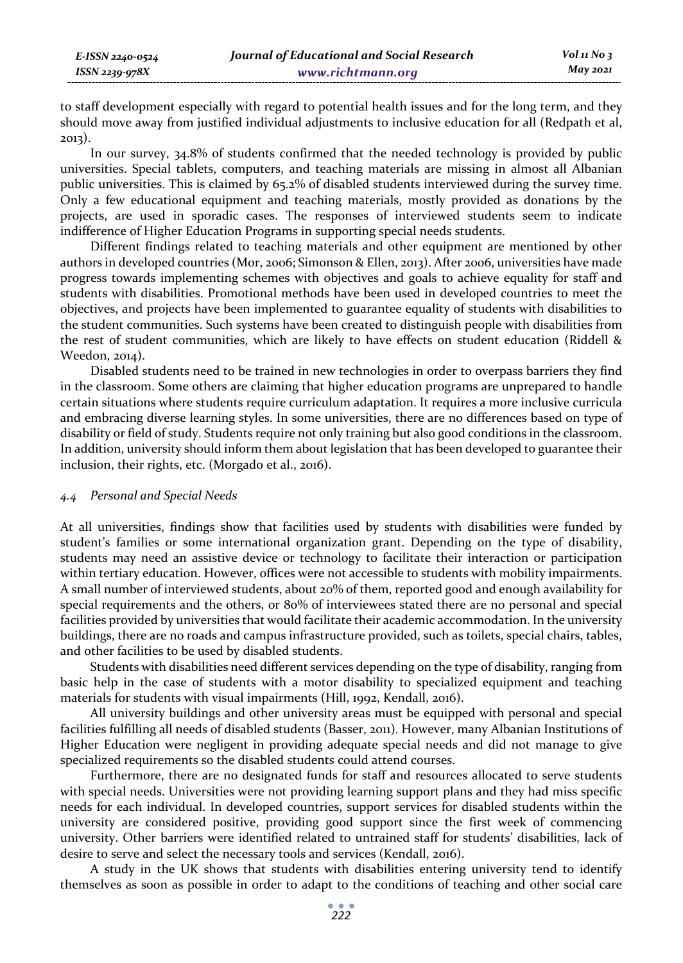to staff development especially with regard to potential health issues and for the long term, and they should move away from justified individual adjustments to inclusive education for all (Redpath et al, 2013).

In our survey, 34.8% of students confirmed that the needed technology is provided by public universities. Special tablets, computers, and teaching materials are missing in almost all Albanian public universities. This is claimed by 65.2% of disabled students interviewed during the survey time. Only a few educational equipment and teaching materials, mostly provided as donations by the projects, are used in sporadic cases. The responses of interviewed students seem to indicate indifference of Higher Education Programs in supporting special needs students.

Different findings related to teaching materials and other equipment are mentioned by other authors in developed countries (Mor, 2006; Simonson & Ellen, 2013). After 2006, universities have made progress towards implementing schemes with objectives and goals to achieve equality for staff and students with disabilities. Promotional methods have been used in developed countries to meet the objectives, and projects have been implemented to guarantee equality of students with disabilities to the student communities. Such systems have been created to distinguish people with disabilities from the rest of student communities, which are likely to have effects on student education (Riddell & Weedon, 2014).

Disabled students need to be trained in new technologies in order to overpass barriers they find in the classroom. Some others are claiming that higher education programs are unprepared to handle certain situations where students require curriculum adaptation. It requires a more inclusive curricula and embracing diverse learning styles. In some universities, there are no differences based on type of disability or field of study. Students require not only training but also good conditions in the classroom. In addition, university should inform them about legislation that has been developed to guarantee their inclusion, their rights, etc. (Morgado et al., 2016).

### *4.4 Personal and Special Needs*

At all universities, findings show that facilities used by students with disabilities were funded by student's families or some international organization grant. Depending on the type of disability, students may need an assistive device or technology to facilitate their interaction or participation within tertiary education. However, offices were not accessible to students with mobility impairments. A small number of interviewed students, about 20% of them, reported good and enough availability for special requirements and the others, or 80% of interviewees stated there are no personal and special facilities provided by universities that would facilitate their academic accommodation. In the university buildings, there are no roads and campus infrastructure provided, such as toilets, special chairs, tables, and other facilities to be used by disabled students.

Students with disabilities need different services depending on the type of disability, ranging from basic help in the case of students with a motor disability to specialized equipment and teaching materials for students with visual impairments (Hill, 1992, Kendall, 2016).

All university buildings and other university areas must be equipped with personal and special facilities fulfilling all needs of disabled students (Basser, 2011). However, many Albanian Institutions of Higher Education were negligent in providing adequate special needs and did not manage to give specialized requirements so the disabled students could attend courses.

Furthermore, there are no designated funds for staff and resources allocated to serve students with special needs. Universities were not providing learning support plans and they had miss specific needs for each individual. In developed countries, support services for disabled students within the university are considered positive, providing good support since the first week of commencing university. Other barriers were identified related to untrained staff for students' disabilities, lack of desire to serve and select the necessary tools and services (Kendall, 2016).

A study in the UK shows that students with disabilities entering university tend to identify themselves as soon as possible in order to adapt to the conditions of teaching and other social care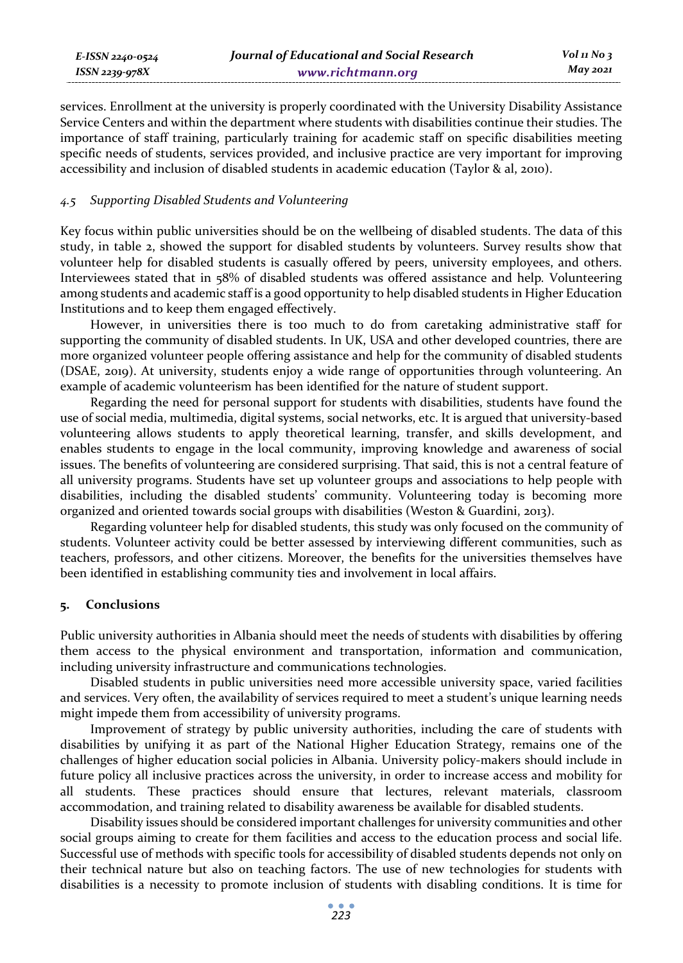services. Enrollment at the university is properly coordinated with the University Disability Assistance Service Centers and within the department where students with disabilities continue their studies. The importance of staff training, particularly training for academic staff on specific disabilities meeting specific needs of students, services provided, and inclusive practice are very important for improving accessibility and inclusion of disabled students in academic education (Taylor & al, 2010).

### *4.5 Supporting Disabled Students and Volunteering*

Key focus within public universities should be on the wellbeing of disabled students. The data of this study, in table 2, showed the support for disabled students by volunteers. Survey results show that volunteer help for disabled students is casually offered by peers, university employees, and others. Interviewees stated that in 58% of disabled students was offered assistance and help*.* Volunteering among students and academic staff is a good opportunity to help disabled students in Higher Education Institutions and to keep them engaged effectively.

However, in universities there is too much to do from caretaking administrative staff for supporting the community of disabled students. In UK, USA and other developed countries, there are more organized volunteer people offering assistance and help for the community of disabled students (DSAE, 2019). At university, students enjoy a wide range of opportunities through volunteering. An example of academic volunteerism has been identified for the nature of student support.

Regarding the need for personal support for students with disabilities, students have found the use of social media, multimedia, digital systems, social networks, etc. It is argued that university-based volunteering allows students to apply theoretical learning, transfer, and skills development, and enables students to engage in the local community, improving knowledge and awareness of social issues. The benefits of volunteering are considered surprising. That said, this is not a central feature of all university programs. Students have set up volunteer groups and associations to help people with disabilities, including the disabled students' community. Volunteering today is becoming more organized and oriented towards social groups with disabilities (Weston & Guardini, 2013).

Regarding volunteer help for disabled students, this study was only focused on the community of students. Volunteer activity could be better assessed by interviewing different communities, such as teachers, professors, and other citizens. Moreover, the benefits for the universities themselves have been identified in establishing community ties and involvement in local affairs.

# **5. Conclusions**

Public university authorities in Albania should meet the needs of students with disabilities by offering them access to the physical environment and transportation, information and communication, including university infrastructure and communications technologies.

Disabled students in public universities need more accessible university space, varied facilities and services. Very often, the availability of services required to meet a student's unique learning needs might impede them from accessibility of university programs.

Improvement of strategy by public university authorities, including the care of students with disabilities by unifying it as part of the National Higher Education Strategy, remains one of the challenges of higher education social policies in Albania. University policy-makers should include in future policy all inclusive practices across the university, in order to increase access and mobility for all students. These practices should ensure that lectures, relevant materials, classroom accommodation, and training related to disability awareness be available for disabled students.

Disability issues should be considered important challenges for university communities and other social groups aiming to create for them facilities and access to the education process and social life. Successful use of methods with specific tools for accessibility of disabled students depends not only on their technical nature but also on teaching factors. The use of new technologies for students with disabilities is a necessity to promote inclusion of students with disabling conditions. It is time for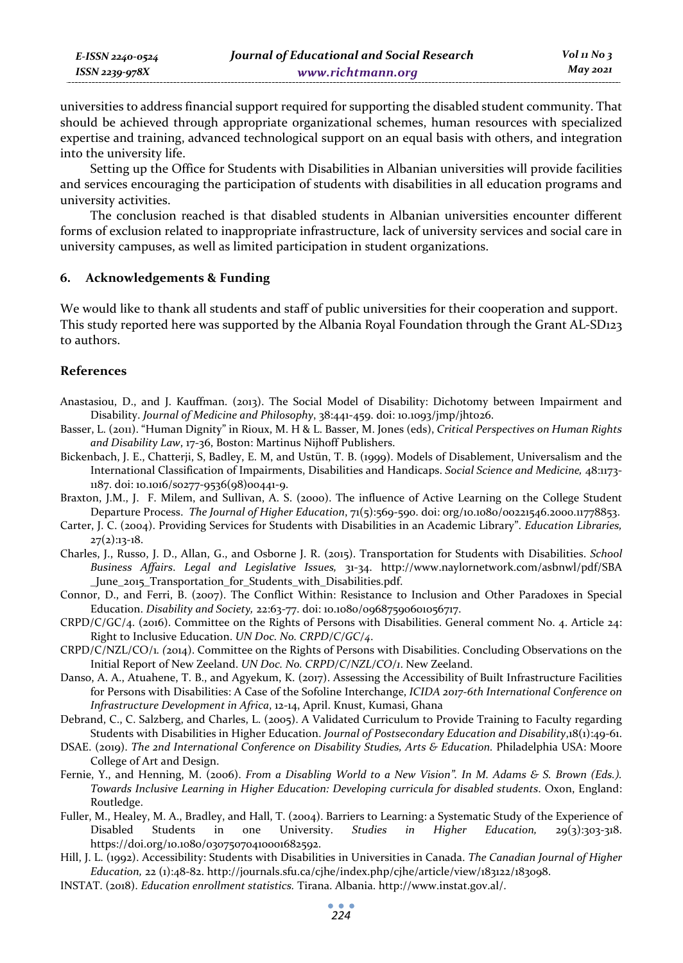| E-ISSN 2240-0524 | Journal of Educational and Social Research | $Vol$ 11 No 3 |
|------------------|--------------------------------------------|---------------|
| ISSN 2239-978X   | www.richtmann.org                          | May 2021      |

universities to address financial support required for supporting the disabled student community. That should be achieved through appropriate organizational schemes, human resources with specialized expertise and training, advanced technological support on an equal basis with others, and integration into the university life.

Setting up the Office for Students with Disabilities in Albanian universities will provide facilities and services encouraging the participation of students with disabilities in all education programs and university activities.

The conclusion reached is that disabled students in Albanian universities encounter different forms of exclusion related to inappropriate infrastructure, lack of university services and social care in university campuses, as well as limited participation in student organizations.

### **6. Acknowledgements & Funding**

We would like to thank all students and staff of public universities for their cooperation and support. This study reported here was supported by the Albania Royal Foundation through the Grant AL-SD123 to authors.

#### **References**

- Anastasiou, D., and J. Kauffman. (2013). The Social Model of Disability: Dichotomy between Impairment and Disability. *Journal of Medicine and Philosophy*, 38:441-459. doi: 10.1093/jmp/jht026.
- Basser, L. (2011). "Human Dignity" in Rioux, M. H & L. Basser, M. Jones (eds), *Critical Perspectives on Human Rights and Disability Law*, 17-36, Boston: Martinus Nijhoff Publishers.
- Bickenbach, J. E., Chatterji, S, Badley, E. M, and Ustün, T. B. (1999). Models of Disablement, Universalism and the International Classification of Impairments, Disabilities and Handicaps. *Social Science and Medicine,* 48:1173- 1187. doi: 10.1016/s0277-9536(98)00441-9.
- Braxton, J.M., J. F. Milem, and Sullivan, A. S. (2000). The influence of Active Learning on the College Student Departure Process. *The Journal of Higher Education*, 71(5):569-590. doi: org/10.1080/00221546.2000.11778853.
- Carter, J. C. (2004). Providing Services for Students with Disabilities in an Academic Library". *Education Libraries,*  $27(2):13-18.$
- Charles, J., Russo, J. D., Allan, G., and Osborne J. R. (2015). Transportation for Students with Disabilities. *School Business Affairs*. *Legal and Legislative Issues,* 31-34. http://www.naylornetwork.com/asbnwl/pdf/SBA \_June\_2015\_Transportation\_for\_Students\_with\_Disabilities.pdf.
- Connor, D., and Ferri, B. (2007). The Conflict Within: Resistance to Inclusion and Other Paradoxes in Special Education. *Disability and Society,* 22:63-77. doi: 10.1080/09687590601056717.
- CRPD/C/GC/4. (2016). Committee on the Rights of Persons with Disabilities. General comment No. 4. Article 24: Right to Inclusive Education. *UN Doc. No. CRPD/C/GC/4*.
- CRPD/C/NZL/CO/1*. (*2014). Committee on the Rights of Persons with Disabilities. Concluding Observations on the Initial Report of New Zeeland. *UN Doc. No. CRPD/C/NZL/CO/1*. New Zeeland.
- Danso, A. A., Atuahene, T. B., and Agyekum, K. (2017). Assessing the Accessibility of Built Infrastructure Facilities for Persons with Disabilities: A Case of the Sofoline Interchange, *ICIDA 2017-6th International Conference on Infrastructure Development in Africa*, 12-14, April. Knust, Kumasi, Ghana
- Debrand, C., C. Salzberg, and Charles, L. (2005). A Validated Curriculum to Provide Training to Faculty regarding Students with Disabilities in Higher Education. *Journal of Postsecondary Education and Disability*,18(1):49-61.
- DSAE. (2019). *The 2nd International Conference on Disability Studies, Arts & Education.* Philadelphia USA: Moore College of Art and Design.
- Fernie, Y., and Henning, M. (2006). *From a Disabling World to a New Vision". In M. Adams & S. Brown (Eds.). Towards Inclusive Learning in Higher Education: Developing curricula for disabled students*. Oxon, England: Routledge.
- Fuller, M., Healey, M. A., Bradley, and Hall, T. (2004). Barriers to Learning: a Systematic Study of the Experience of<br>Disabled Students in one University. *Studies in Higher Education*, 29(3):303-318. Disabled Students in one University. *Studies in Higher Education,* 29(3):303-318. https://doi.org/10.1080/03075070410001682592.
- Hill, J. L. (1992). Accessibility: Students with Disabilities in Universities in Canada. *The Canadian Journal of Higher Education,* 22 (1):48-82. http://journals.sfu.ca/cjhe/index.php/cjhe/article/view/183122/183098.
- INSTAT. (2018). *Education enrollment statistics.* Tirana. Albania. http://www.instat.gov.al/.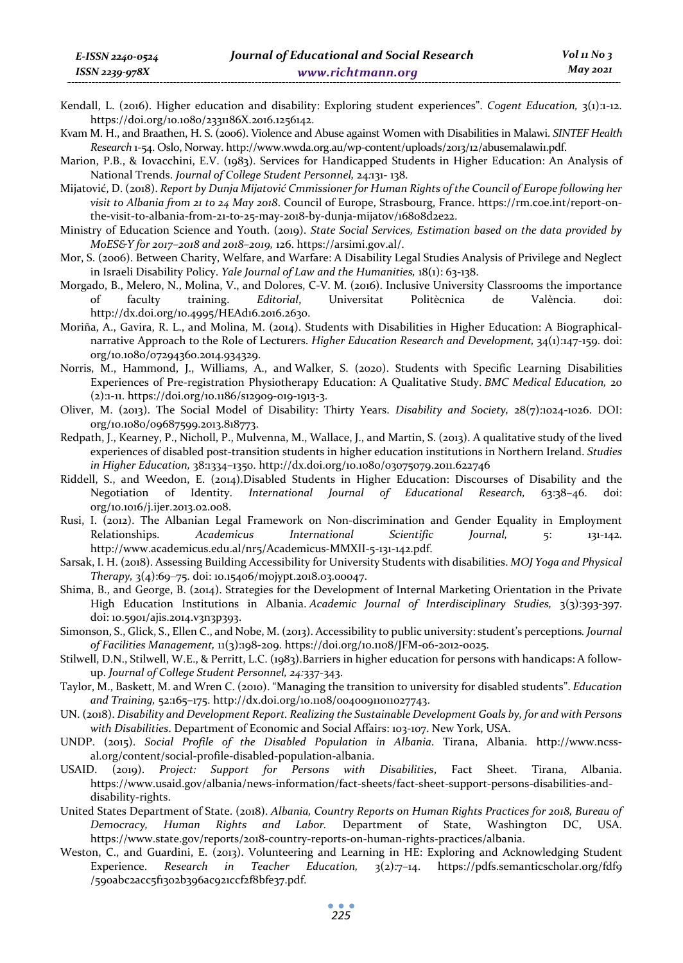- Kendall, L. (2016). Higher education and disability: Exploring student experiences". *Cogent Education,* 3(1):1-12. https://doi.org/10.1080/2331186X.2016.1256142.
- Kvam M. H., and Braathen, H. S. (2006). Violence and Abuse against Women with Disabilities in Malawi. *SINTEF Health Research* 1-54. Oslo, Norway. http://www.wwda.org.au/wp-content/uploads/2013/12/abusemalawi1.pdf.
- Marion, P.B., & Iovacchini, E.V. (1983). Services for Handicapped Students in Higher Education: An Analysis of National Trends. *Journal of College Student Personnel,* 24*:*131- 138.
- Mijatović, D. (2018). *Report by Dunja Mijatović Cmmissioner for Human Rights of the Council of Europe following her visit to Albania from 21 to 24 May 2018*. Council of Europe, Strasbourg, France. https://rm.coe.int/report-onthe-visit-to-albania-from-21-to-25-may-2018-by-dunja-mijatov/16808d2e22.
- Ministry of Education Science and Youth. (2019). *State Social Services, Estimation based on the data provided by MoES&Y for 2017–2018 and 2018–2019,* 126. https://arsimi.gov.al/.
- Mor, S. (2006). Between Charity, Welfare, and Warfare: A Disability Legal Studies Analysis of Privilege and Neglect in Israeli Disability Policy. *Yale Journal of Law and the Humanities,* 18(1): 63-138.
- Morgado, B., Melero, N., Molina, V., and Dolores, C-V. M. (2016). Inclusive University Classrooms the importance of faculty training. *Editorial*, Universitat Politècnica de València. doi: http://dx.doi.org/10.4995/HEAd16.2016.2630.
- Moriña, A., Gavira, R. L., and Molina, M. (2014). Students with Disabilities in Higher Education: A Biographicalnarrative Approach to the Role of Lecturers. *Higher Education Research and Development,* 34(1):147-159. doi: org/10.1080/07294360.2014.934329.
- Norris, M., Hammond, J., Williams, A., and Walker, S. (2020). Students with Specific Learning Disabilities Experiences of Pre-registration Physiotherapy Education: A Qualitative Study. *BMC Medical Education,* 20 (2):1-11. https://doi.org/10.1186/s12909-019-1913-3.
- Oliver, M. (2013). The Social Model of Disability: Thirty Years. *Disability and Society,* 28(7):1024-1026. DOI: org/10.1080/09687599.2013.818773.
- Redpath, J., Kearney, P., Nicholl, P., Mulvenna, M., Wallace, J., and Martin, S. (2013). A qualitative study of the lived experiences of disabled post-transition students in higher education institutions in Northern Ireland. *Studies in Higher Education,* 38:1334–1350. http://dx.doi.org/10.1080/03075079.2011.622746
- Riddell, S., and Weedon, E. (2014).Disabled Students in Higher Education: Discourses of Disability and the Negotiation of Identity. *International Journal of Educational Research,* 63:38–46. doi: org/10.1016/j.ijer.2013.02.008.
- Rusi, I. (2012). The Albanian Legal Framework on Non-discrimination and Gender Equality in Employment Relationships. *Academicus International Scientific Journal,* 5: 131-142. http://www.academicus.edu.al/nr5/Academicus-MMXII-5-131-142.pdf.
- Sarsak, I. H. (2018). Assessing Building Accessibility for University Students with disabilities. *MOJ Yoga and Physical Therapy,* 3(4):69‒75. doi: 10.15406/mojypt.2018.03.00047.
- Shima, B., and George, B. (2014). Strategies for the Development of Internal Marketing Orientation in the Private High Education Institutions in Albania. *Academic Journal of Interdisciplinary Studies,* 3(3):393-397. doi: 10.5901/ajis.2014.v3n3p393.
- Simonson, S., Glick, S., Ellen C., and Nobe, M. (2013). Accessibility to public university: student's perceptions*. Journal of Facilities Management,* 11(3):198-209. https://doi.org/10.1108/JFM-06-2012-0025.
- Stilwell, D.N., Stilwell, W.E., & Perritt, L.C. (1983).Barriers in higher education for persons with handicaps: A followup. *Journal of College Student Personnel, 24:*337-343.
- Taylor, M., Baskett, M. and Wren C. (2010). "Managing the transition to university for disabled students". *Education and Training,* 52:165–175. http://dx.doi.org/10.1108/00400911011027743.
- UN. (2018). *Disability and Development Report. Realizing the Sustainable Development Goals by, for and with Persons with Disabilities*. Department of Economic and Social Affairs: 103-107. New York, USA.
- UNDP. (2015). *Social Profile of the Disabled Population in Albania*. Tirana, Albania. http://www.ncssal.org/content/social-profile-disabled-population-albania.
- USAID. (2019). *Project: Support for Persons with Disabilities*, Fact Sheet. Tirana, Albania. https://www.usaid.gov/albania/news-information/fact-sheets/fact-sheet-support-persons-disabilities-anddisability-rights.
- United States Department of State. (2018). *Albania, Country Reports on Human Rights Practices for 2018, Bureau of Democracy, Human Rights and Labor.* Department of State, Washington DC, USA. https://www.state.gov/reports/2018-country-reports-on-human-rights-practices/albania.
- Weston, C., and Guardini, E. (2013). Volunteering and Learning in HE: Exploring and Acknowledging Student Experience. *Research in Teacher Education,* 3(2):7–14. https://pdfs.semanticscholar.org/fdf9 /590abc2acc5f1302b396ac921ccf2f8bfe37.pdf.